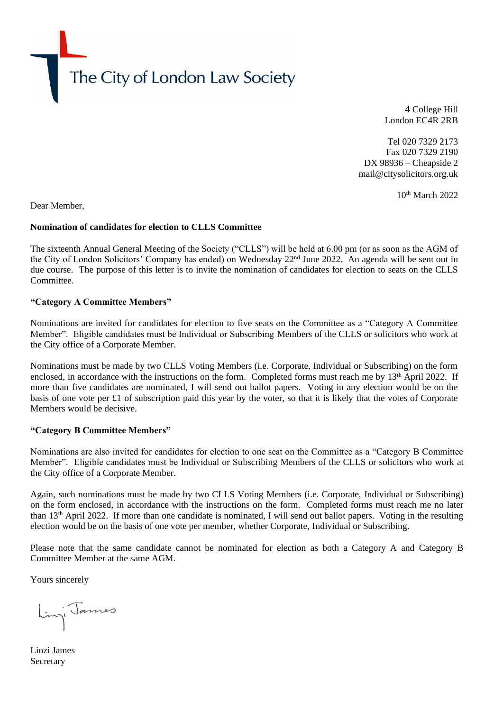The City of London Law Society

4 College Hill London EC4R 2RB

Tel 020 7329 2173 Fax 020 7329 2190 DX 98936 – Cheapside 2 mail@citysolicitors.org.uk

10<sup>th</sup> March 2022

Dear Member,

## **Nomination of candidates for election to CLLS Committee**

The sixteenth Annual General Meeting of the Society ("CLLS") will be held at 6.00 pm (or as soon as the AGM of the City of London Solicitors' Company has ended) on Wednesday 22nd June 2022. An agenda will be sent out in due course. The purpose of this letter is to invite the nomination of candidates for election to seats on the CLLS Committee.

### **"Category A Committee Members"**

Nominations are invited for candidates for election to five seats on the Committee as a "Category A Committee Member". Eligible candidates must be Individual or Subscribing Members of the CLLS or solicitors who work at the City office of a Corporate Member.

Nominations must be made by two CLLS Voting Members (i.e. Corporate, Individual or Subscribing) on the form enclosed, in accordance with the instructions on the form. Completed forms must reach me by 13<sup>th</sup> April 2022. If more than five candidates are nominated, I will send out ballot papers. Voting in any election would be on the basis of one vote per £1 of subscription paid this year by the voter, so that it is likely that the votes of Corporate Members would be decisive.

## **"Category B Committee Members"**

Nominations are also invited for candidates for election to one seat on the Committee as a "Category B Committee Member". Eligible candidates must be Individual or Subscribing Members of the CLLS or solicitors who work at the City office of a Corporate Member.

Again, such nominations must be made by two CLLS Voting Members (i.e. Corporate, Individual or Subscribing) on the form enclosed, in accordance with the instructions on the form. Completed forms must reach me no later than 13<sup>th</sup> April 2022. If more than one candidate is nominated, I will send out ballot papers. Voting in the resulting election would be on the basis of one vote per member, whether Corporate, Individual or Subscribing.

Please note that the same candidate cannot be nominated for election as both a Category A and Category B Committee Member at the same AGM.

Yours sincerely

Lingi James

Linzi James **Secretary**